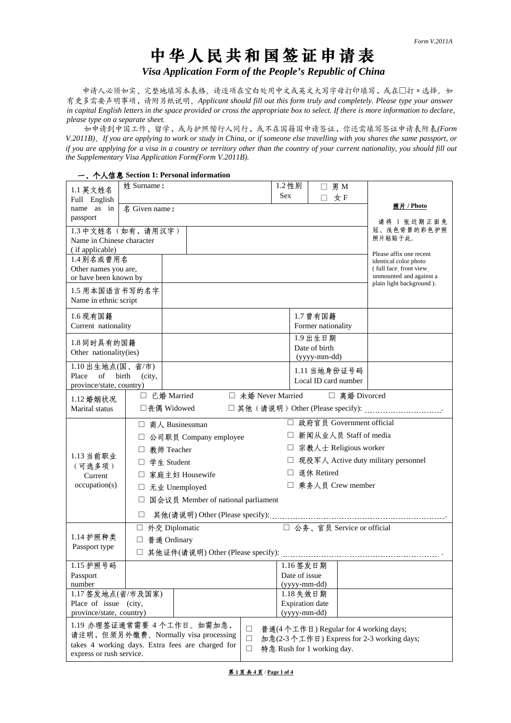# 中华人民共和国签证申请表

*Visa Application Form of the People's Republic of China*

申请人必须如实、完整地填写本表格。请逐项在空白处用中文或英文大写字母打印填写,或在□打×选择。如 有更多需要声明事项,请附另纸说明。*Applicant should fill out this form truly and completely. Please type your answer in capital English letters in the space provided or cross the appropriate box to select. If there is more information to declare, please type on a separate sheet.*

如申请到中国工作、留学,或与护照偕行人同行,或不在国籍国申请签证,你还需填写签证申请表附表*(Form V.2011B)*。*If you are applying to work or study in China, or if someone else travelling with you shares the same passport, or if you are applying for a visa in a country or territory other than the country of your current nationality, you should fill out the Supplementary Visa Application Form(Form V.2011B).*

|                                                                      | 一、个人信息 Section 1: Personal information                 |                                                    |                    |                                |                                       |                                                 |  |  |
|----------------------------------------------------------------------|--------------------------------------------------------|----------------------------------------------------|--------------------|--------------------------------|---------------------------------------|-------------------------------------------------|--|--|
| 1.1 英文姓名                                                             | 姓 Surname:                                             |                                                    | 1.2 性别             |                                | 男 M<br>П.                             |                                                 |  |  |
| Full English                                                         |                                                        |                                                    | <b>Sex</b>         |                                | 女F<br>П                               |                                                 |  |  |
| name as in                                                           | 名 Given name:                                          |                                                    |                    |                                |                                       | 照片 / Photo                                      |  |  |
| passport                                                             |                                                        |                                                    |                    |                                |                                       | 请将 1 张近期正面免                                     |  |  |
|                                                                      | 1.3 中文姓名(如有,请用汉字)                                      |                                                    |                    |                                |                                       | 冠、浅色背景的彩色护照                                     |  |  |
| Name in Chinese character                                            |                                                        |                                                    |                    |                                |                                       | 照片粘贴于此。                                         |  |  |
| (if applicable)                                                      |                                                        |                                                    |                    |                                |                                       | Please affix one recent                         |  |  |
| 1.4 别名或曾用名<br>Other names you are,                                   |                                                        |                                                    |                    |                                |                                       | identical color photo<br>(full face front view) |  |  |
| or have been known by                                                |                                                        |                                                    |                    |                                |                                       | unmounted and against a                         |  |  |
| 1.5 用本国语言书写的名字                                                       |                                                        |                                                    |                    |                                |                                       | plain light background ).                       |  |  |
| Name in ethnic script                                                |                                                        |                                                    |                    |                                |                                       |                                                 |  |  |
|                                                                      |                                                        |                                                    |                    |                                |                                       |                                                 |  |  |
| 1.6 现有国籍<br>Current nationality                                      |                                                        |                                                    |                    | 1.7 曾有国籍<br>Former nationality |                                       |                                                 |  |  |
|                                                                      |                                                        |                                                    |                    |                                |                                       |                                                 |  |  |
| 1.8 同时具有的国籍                                                          |                                                        |                                                    |                    | 1.9 出生日期<br>Date of birth      |                                       |                                                 |  |  |
| Other nationality(ies)                                               |                                                        |                                                    |                    | (yyyy-mm-dd)                   |                                       |                                                 |  |  |
| 1.10 出生地点(国、省/市)                                                     |                                                        |                                                    |                    |                                | 1.11 当地身份证号码                          |                                                 |  |  |
| Place<br>of<br>birth                                                 | (city,                                                 |                                                    |                    |                                | Local ID card number                  |                                                 |  |  |
| province/state, country)                                             |                                                        |                                                    |                    |                                |                                       |                                                 |  |  |
| 1.12 婚姻状况                                                            | □ 已婚 Married                                           |                                                    | □ 未婚 Never Married |                                | □ 离婚 Divorced                         |                                                 |  |  |
| Marital status                                                       | □丧偶 Widowed                                            |                                                    |                    |                                |                                       |                                                 |  |  |
|                                                                      | □ 商人 Businessman                                       |                                                    |                    |                                | □ 政府官员 Government official            |                                                 |  |  |
|                                                                      |                                                        | □ 新闻从业人员 Staff of media<br>□ 公司职员 Company employee |                    |                                |                                       |                                                 |  |  |
|                                                                      | 教师 Teacher                                             | □ 宗教人士 Religious worker                            |                    |                                |                                       |                                                 |  |  |
| 1.13 当前职业                                                            | 学生 Student                                             | □ 现役军人 Active duty military personnel              |                    |                                |                                       |                                                 |  |  |
| (可选多项)<br>Current                                                    |                                                        | □ 退休 Retired<br>家庭主妇 Housewife                     |                    |                                |                                       |                                                 |  |  |
| occupation(s)                                                        |                                                        | □ 乘务人员 Crew member<br>□ 无业 Unemployed              |                    |                                |                                       |                                                 |  |  |
|                                                                      |                                                        | $\Box$                                             |                    |                                |                                       |                                                 |  |  |
|                                                                      |                                                        | 国会议员 Member of national parliament                 |                    |                                |                                       |                                                 |  |  |
|                                                                      | П                                                      |                                                    |                    |                                |                                       |                                                 |  |  |
|                                                                      | □ 公务、官员 Service or official<br>外交 Diplomatic<br>$\Box$ |                                                    |                    |                                |                                       |                                                 |  |  |
|                                                                      | 1.14 护照种类<br>□ 普通 Ordinary                             |                                                    |                    |                                |                                       |                                                 |  |  |
| Passport type<br>□ 其他证件(请说明) Other (Please specify):                 |                                                        |                                                    |                    |                                |                                       |                                                 |  |  |
| 1.15 护照号码                                                            |                                                        |                                                    |                    | 1.16 签发日期                      |                                       |                                                 |  |  |
| Passport                                                             | Date of issue                                          |                                                    |                    |                                |                                       |                                                 |  |  |
| number<br>(yyyy-mm-dd)                                               |                                                        |                                                    |                    |                                |                                       |                                                 |  |  |
| 1.17 签发地点(省/市及国家)<br>Place of issue (city,                           |                                                        |                                                    |                    | 1.18 失效日期                      |                                       |                                                 |  |  |
| <b>Expiration</b> date<br>province/state, country)<br>$(yyyy-mm-dd)$ |                                                        |                                                    |                    |                                |                                       |                                                 |  |  |
| 1.19 办理签证通常需要 4 个工作日。如需加急,                                           |                                                        |                                                    |                    |                                |                                       |                                                 |  |  |
|                                                                      | 请注明, 但须另外缴费。Normally visa processing                   |                                                    | $\Box$             |                                | 普通(4个工作日) Regular for 4 working days; |                                                 |  |  |
|                                                                      | takes 4 working days. Extra fees are charged for       |                                                    | $\Box$<br>$\Box$   | 特急 Rush for 1 working day.     |                                       | 加急(2-3个工作日) Express for 2-3 working days;       |  |  |
| express or rush service.                                             |                                                        |                                                    |                    |                                |                                       |                                                 |  |  |

第 **1** 页 共 **4** 页 / **Page 1 of 4**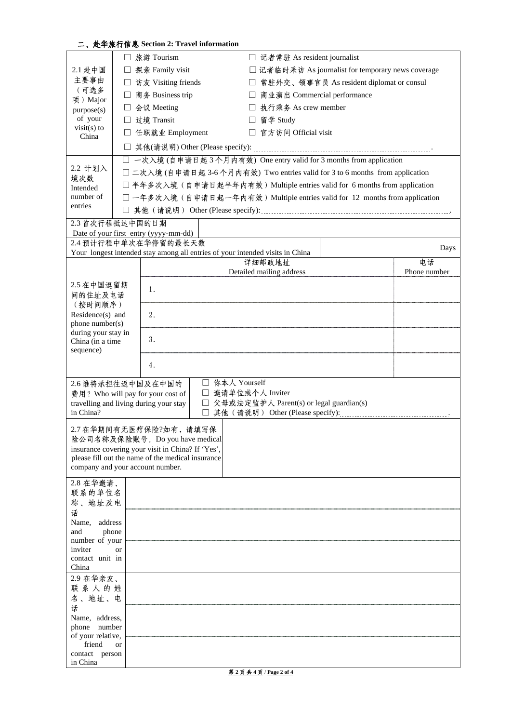## 二、赴华旅行信息 **Section 2: Travel information**

|                            |           | □ 旅游 Tourism                                                                  |                |                 |        |                          | □ 记者常驻 As resident journalist                                                |              |
|----------------------------|-----------|-------------------------------------------------------------------------------|----------------|-----------------|--------|--------------------------|------------------------------------------------------------------------------|--------------|
| 2.1 赴中国                    |           | 探亲 Family visit                                                               |                |                 |        |                          | □ 记者临时采访 As journalist for temporary news coverage                           |              |
| 主要事由                       |           | □ 访友 Visiting friends                                                         |                |                 |        |                          | 常驻外交、领事官员 As resident diplomat or consul                                     |              |
| (可选多                       | $\perp$   | 商务 Business trip                                                              |                |                 | $\Box$ |                          | 商业演出 Commercial performance                                                  |              |
| 项) Major                   |           |                                                                               |                |                 |        |                          |                                                                              |              |
| purpose(s)                 |           | □ 会议 Meeting                                                                  |                |                 |        | □ 执行乘务 As crew member    |                                                                              |              |
| of your<br>$visit(s)$ to   | $\Box$    | 过境 Transit                                                                    |                |                 |        | □ 留学 Study               |                                                                              |              |
| China                      |           | □ 任职就业 Employment                                                             |                |                 |        | □ 官方访问 Official visit    |                                                                              |              |
|                            |           |                                                                               |                |                 |        |                          |                                                                              |              |
|                            |           |                                                                               |                |                 |        |                          | □ 一次入境(自申请日起3个月内有效) One entry valid for 3 months from application            |              |
| 2.2 计划入<br>境次数             |           |                                                                               |                |                 |        |                          | □ 二次入境 (自申请日起 3-6个月内有效) Two entries valid for 3 to 6 months from application |              |
| Intended                   |           |                                                                               |                |                 |        |                          | □ 半年多次入境(自申请日起半年内有效) Multiple entries valid for 6 months from application    |              |
| number of                  |           |                                                                               |                |                 |        |                          | □ 一年多次入境(自申请日起一年内有效) Multiple entries valid for 12 months from application   |              |
| entries                    |           |                                                                               |                |                 |        |                          |                                                                              |              |
|                            |           |                                                                               |                |                 |        |                          |                                                                              |              |
| 2.3 首次行程抵达中国的日期            |           |                                                                               |                |                 |        |                          |                                                                              |              |
|                            |           | Date of your first entry (yyyy-mm-dd)<br>2.4 预计行程中单次在华停留的最长天数                 |                |                 |        |                          |                                                                              |              |
|                            |           | Your longest intended stay among all entries of your intended visits in China |                |                 |        |                          |                                                                              | Days         |
|                            |           |                                                                               |                |                 | 详细邮政地址 |                          |                                                                              | 电话           |
|                            |           |                                                                               |                |                 |        | Detailed mailing address |                                                                              | Phone number |
| 2.5 在中国逗留期                 |           |                                                                               |                |                 |        |                          |                                                                              |              |
| 间的住址及电话                    |           | 1.                                                                            |                |                 |        |                          |                                                                              |              |
| (按时间顺序)                    |           |                                                                               |                |                 |        |                          |                                                                              |              |
| Residence(s) and           |           | 2.                                                                            |                |                 |        |                          |                                                                              |              |
| phone number(s)            |           |                                                                               |                |                 |        |                          |                                                                              |              |
| during your stay in        |           |                                                                               |                |                 |        |                          |                                                                              |              |
| China (in a time           |           | 3.                                                                            |                |                 |        |                          |                                                                              |              |
| sequence)                  |           |                                                                               |                |                 |        |                          |                                                                              |              |
|                            |           | 4.                                                                            |                |                 |        |                          |                                                                              |              |
|                            |           | 2.6 谁将承担往返中国及在中国的                                                             | □ 你本人 Yourself |                 |        |                          |                                                                              |              |
|                            |           | 费用? Who will pay for your cost of                                             | $\Box$         | 邀请单位或个人 Inviter |        |                          |                                                                              |              |
|                            |           | travelling and living during your stay                                        | ⊔              |                 |        |                          | 父母或法定监护人 Parent(s) or legal guardian(s)                                      |              |
| in China?                  |           |                                                                               | ⊔.             |                 |        |                          |                                                                              |              |
|                            |           | 2.7 在华期间有无医疗保险?如有,请填写保                                                        |                |                 |        |                          |                                                                              |              |
|                            |           | 险公司名称及保险账号。Do you have medical                                                |                |                 |        |                          |                                                                              |              |
|                            |           | insurance covering your visit in China? If 'Yes',                             |                |                 |        |                          |                                                                              |              |
|                            |           | please fill out the name of the medical insurance                             |                |                 |        |                          |                                                                              |              |
|                            |           | company and your account number.                                              |                |                 |        |                          |                                                                              |              |
| 2.8 在华邀请、                  |           |                                                                               |                |                 |        |                          |                                                                              |              |
| 联系的单位名                     |           |                                                                               |                |                 |        |                          |                                                                              |              |
| 称、地址及电                     |           |                                                                               |                |                 |        |                          |                                                                              |              |
| 话                          |           |                                                                               |                |                 |        |                          |                                                                              |              |
| Name,<br>address           |           |                                                                               |                |                 |        |                          |                                                                              |              |
| phone<br>and               |           |                                                                               |                |                 |        |                          |                                                                              |              |
| number of your             |           |                                                                               |                |                 |        |                          |                                                                              |              |
| inviter<br>contact unit in | <b>or</b> |                                                                               |                |                 |        |                          |                                                                              |              |
| China                      |           |                                                                               |                |                 |        |                          |                                                                              |              |
| 2.9 在华亲友、                  |           |                                                                               |                |                 |        |                          |                                                                              |              |
| 联系人的姓                      |           |                                                                               |                |                 |        |                          |                                                                              |              |
| 名、地址、电                     |           |                                                                               |                |                 |        |                          |                                                                              |              |
| 话                          |           |                                                                               |                |                 |        |                          |                                                                              |              |
| Name, address,             |           |                                                                               |                |                 |        |                          |                                                                              |              |
| phone number               |           |                                                                               |                |                 |        |                          |                                                                              |              |
| of your relative,          |           |                                                                               |                |                 |        |                          |                                                                              |              |
| friend                     | <b>or</b> |                                                                               |                |                 |        |                          |                                                                              |              |
| contact person<br>in China |           |                                                                               |                |                 |        |                          |                                                                              |              |
|                            |           |                                                                               |                |                 |        |                          |                                                                              |              |

## 第 **2** 页 共 **4** 页 / **Page 2 of 4**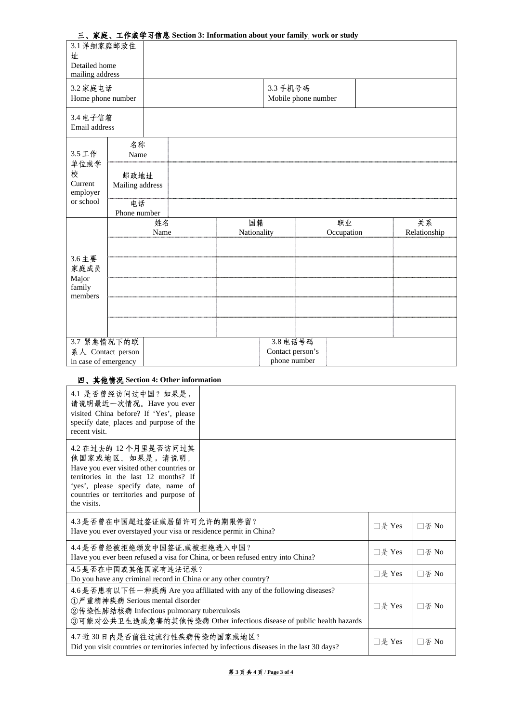|  | 三、家庭、工作或学习信息 Section 3: Information about your family, work or study |
|--|----------------------------------------------------------------------|
|--|----------------------------------------------------------------------|

| 3.1 详细家庭邮政住       |                                      |      |             |                     |            |  |              |
|-------------------|--------------------------------------|------|-------------|---------------------|------------|--|--------------|
| 址                 |                                      |      |             |                     |            |  |              |
| Detailed home     |                                      |      |             |                     |            |  |              |
| mailing address   |                                      |      |             |                     |            |  |              |
| 3.2 家庭电话          |                                      |      |             | 3.3 手机号码            |            |  |              |
| Home phone number |                                      |      |             | Mobile phone number |            |  |              |
|                   |                                      |      |             |                     |            |  |              |
| 3.4 电子信箱          |                                      |      |             |                     |            |  |              |
| Email address     |                                      |      |             |                     |            |  |              |
|                   |                                      |      |             |                     |            |  |              |
|                   | 名称                                   |      |             |                     |            |  |              |
| 3.5 工作            | Name                                 |      |             |                     |            |  |              |
| 单位或学<br>校         |                                      |      |             |                     |            |  |              |
| Current           | 邮政地址                                 |      |             |                     |            |  |              |
| employer          | Mailing address                      |      |             |                     |            |  |              |
| or school         | 电话                                   |      |             |                     |            |  |              |
|                   | Phone number                         |      |             |                     |            |  |              |
|                   |                                      | 姓名   | 国籍          |                     | 职业         |  | 关系           |
|                   |                                      | Name | Nationality |                     | Occupation |  | Relationship |
|                   |                                      |      |             |                     |            |  |              |
|                   |                                      |      |             |                     |            |  |              |
| 3.6 主要<br>家庭成员    |                                      |      |             |                     |            |  |              |
| Major             |                                      |      |             |                     |            |  |              |
| family            |                                      |      |             |                     |            |  |              |
| members           |                                      |      |             |                     |            |  |              |
|                   |                                      |      |             |                     |            |  |              |
|                   |                                      |      |             |                     |            |  |              |
|                   |                                      |      |             |                     |            |  |              |
| 3.7 紧急情况下的联       |                                      |      |             | 3.8 电话号码            |            |  |              |
| 系人 Contact person |                                      |      |             | Contact person's    |            |  |              |
|                   | phone number<br>in case of emergency |      |             |                     |            |  |              |

## 四、其他情况 **Section 4: Other information**

| 4.1 是否曾经访问过中国?如果是,<br>请说明最近一次情况。Have you ever<br>visited China before? If 'Yes', please<br>specify date places and purpose of the<br>recent visit.                                                                              |  |        |                          |
|---------------------------------------------------------------------------------------------------------------------------------------------------------------------------------------------------------------------------------|--|--------|--------------------------|
| 4.2 在过去的 12 个月里是否访问过其<br>他国家或地区。如果是,请说明。<br>Have you ever visited other countries or<br>territories in the last 12 months? If<br>'yes', please specify date, name of<br>countries or territories and purpose of<br>the visits.  |  |        |                          |
| 4.3是否曾在中国超过签证或居留许可允许的期限停留?<br>Have you ever overstayed your visa or residence permit in China?                                                                                                                                  |  |        | $\Box$ $\overline{A}$ No |
| 4.4是否曾经被拒绝颁发中国签证,或被拒绝进入中国?<br>Have you ever been refused a visa for China, or been refused entry into China?                                                                                                                    |  |        | $\Box$ $\overline{A}$ No |
| 4.5 是否在中国或其他国家有违法记录?<br>Do you have any criminal record in China or any other country?                                                                                                                                          |  |        | $\Box$ $\overline{A}$ No |
| 4.6 是否患有以下任一种疾病 Are you affiliated with any of the following diseases?<br>①严重精神疾病 Serious mental disorder<br>②传染性肺结核病 Infectious pulmonary tuberculosis<br>③可能对公共卫生造成危害的其他传染病 Other infectious disease of public health hazards |  |        | $\Box$ $\overline{A}$ No |
| 4.7 近 30 日内是否前往过流行性疾病传染的国家或地区?<br>Did you visit countries or territories infected by infectious diseases in the last 30 days?                                                                                                   |  | □是 Yes | □否 No                    |

## 第 **3** 页 共 **4** 页 / **Page 3 of 4**